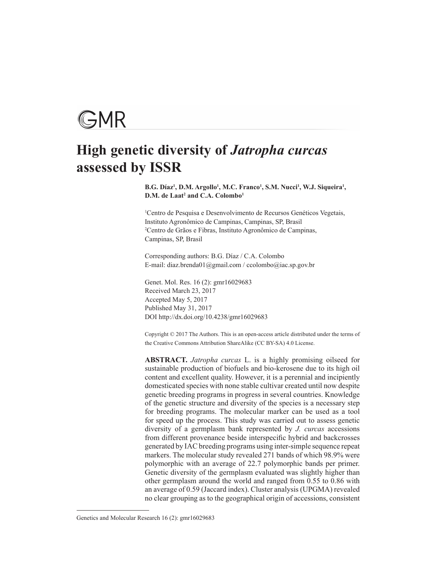# GMR

# **High genetic diversity of** *Jatropha curcas* **assessed by ISSR**

B.G. Díaz<sup>1</sup>, D.M. Argollo<sup>1</sup>, M.C. Franco<sup>1</sup>, S.M. Nucci<sup>1</sup>, W.J. Siqueira<sup>1</sup>, **D.M.** de Laat<sup>2</sup> and C.A. Colombo<sup>1</sup>

1 Centro de Pesquisa e Desenvolvimento de Recursos Genéticos Vegetais, Instituto Agronômico de Campinas, Campinas, SP, Brasil 2 Centro de Grãos e Fibras, Instituto Agronômico de Campinas, Campinas, SP, Brasil

Corresponding authors: B.G. Díaz / C.A. Colombo E-mail: diaz.brenda01@gmail.com / ccolombo@iac.sp.gov.br

Genet. Mol. Res. 16 (2): gmr16029683 Received March 23, 2017 Accepted May 5, 2017 Published May 31, 2017 DOI http://dx.doi.org/10.4238/gmr16029683

Copyright © 2017 The Authors. This is an open-access article distributed under the terms of the Creative Commons Attribution ShareAlike (CC BY-SA) 4.0 License.

**ABSTRACT.** *Jatropha curcas* L. is a highly promising oilseed for sustainable production of biofuels and bio-kerosene due to its high oil content and excellent quality. However, it is a perennial and incipiently domesticated species with none stable cultivar created until now despite genetic breeding programs in progress in several countries. Knowledge of the genetic structure and diversity of the species is a necessary step for breeding programs. The molecular marker can be used as a tool for speed up the process. This study was carried out to assess genetic diversity of a germplasm bank represented by *J. curcas* accessions from different provenance beside interspecific hybrid and backcrosses generated by IAC breeding programs using inter-simple sequence repeat markers. The molecular study revealed 271 bands of which 98.9% were polymorphic with an average of 22.7 polymorphic bands per primer. Genetic diversity of the germplasm evaluated was slightly higher than other germplasm around the world and ranged from 0.55 to 0.86 with an average of 0.59 (Jaccard index). Cluster analysis (UPGMA) revealed no clear grouping as to the geographical origin of accessions, consistent

Genetics and Molecular Research 16 (2): gmr16029683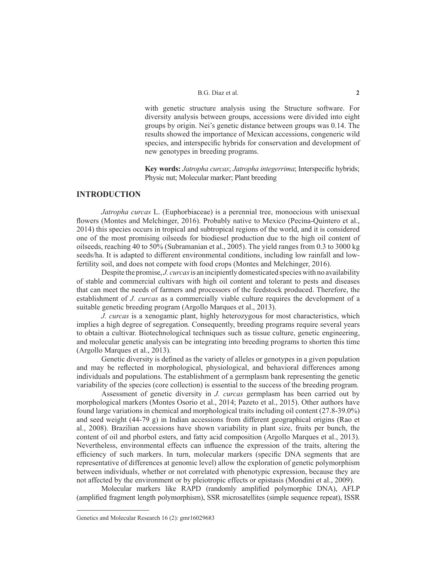#### B.G. Díaz et al. **2**

with genetic structure analysis using the Structure software. For diversity analysis between groups, accessions were divided into eight groups by origin. Nei's genetic distance between groups was 0.14. The results showed the importance of Mexican accessions, congeneric wild species, and interspecific hybrids for conservation and development of new genotypes in breeding programs.

**Key words:** *Jatropha curcas*; *Jatropha integerrima*; Interspecific hybrids; Physic nut; Molecular marker; Plant breeding

# **INTRODUCTION**

*Jatropha curcas* L. (Euphorbiaceae) is a perennial tree, monoecious with unisexual flowers (Montes and Melchinger, 2016). Probably native to Mexico (Pecina-Quintero et al., 2014) this species occurs in tropical and subtropical regions of the world, and it is considered one of the most promising oilseeds for biodiesel production due to the high oil content of oilseeds, reaching 40 to 50% (Subramanian et al., 2005). The yield ranges from 0.3 to 3000 kg seeds/ha. It is adapted to different environmental conditions, including low rainfall and lowfertility soil, and does not compete with food crops (Montes and Melchinger, 2016).

Despite the promise, *J. curcas* is an incipiently domesticated species with no availability of stable and commercial cultivars with high oil content and tolerant to pests and diseases that can meet the needs of farmers and processors of the feedstock produced. Therefore, the establishment of *J. curcas* as a commercially viable culture requires the development of a suitable genetic breeding program (Argollo Marques et al., 2013).

*J. curcas* is a xenogamic plant, highly heterozygous for most characteristics, which implies a high degree of segregation. Consequently, breeding programs require several years to obtain a cultivar. Biotechnological techniques such as tissue culture, genetic engineering, and molecular genetic analysis can be integrating into breeding programs to shorten this time (Argollo Marques et al., 2013).

Genetic diversity is defined as the variety of alleles or genotypes in a given population and may be reflected in morphological, physiological, and behavioral differences among individuals and populations. The establishment of a germplasm bank representing the genetic variability of the species (core collection) is essential to the success of the breeding program.

Assessment of genetic diversity in *J. curcas* germplasm has been carried out by morphological markers (Montes Osorio et al., 2014; Pazeto et al., 2015). Other authors have found large variations in chemical and morphological traits including oil content (27.8-39.0%) and seed weight (44-79 g) in Indian accessions from different geographical origins (Rao et al., 2008). Brazilian accessions have shown variability in plant size, fruits per bunch, the content of oil and phorbol esters, and fatty acid composition (Argollo Marques et al., 2013). Nevertheless, environmental effects can influence the expression of the traits, altering the efficiency of such markers. In turn, molecular markers (specific DNA segments that are representative of differences at genomic level) allow the exploration of genetic polymorphism between individuals, whether or not correlated with phenotypic expression, because they are not affected by the environment or by pleiotropic effects or epistasis (Mondini et al., 2009).

Molecular markers like RAPD (randomly amplified polymorphic DNA), AFLP (amplified fragment length polymorphism), SSR microsatellites (simple sequence repeat), ISSR

Genetics and Molecular Research 16 (2): gmr16029683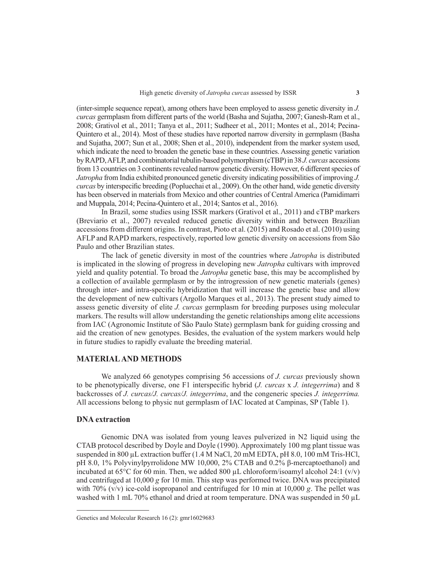(inter-simple sequence repeat), among others have been employed to assess genetic diversity in *J. curcas* germplasm from different parts of the world (Basha and Sujatha, 2007; Ganesh-Ram et al., 2008; Grativol et al., 2011; Tanya et al., 2011; Sudheer et al., 2011; Montes et al., 2014; Pecina-Quintero et al., 2014). Most of these studies have reported narrow diversity in germplasm (Basha and Sujatha, 2007; Sun et al., 2008; Shen et al., 2010), independent from the marker system used, which indicate the need to broaden the genetic base in these countries. Assessing genetic variation by RAPD, AFLP, and combinatorial tubulin-based polymorphism (cTBP) in 38 *J. curcas* accessions from 13 countries on 3 continents revealed narrow genetic diversity. However, 6 different species of *Jatropha* from India exhibited pronounced genetic diversity indicating possibilities of improving *J. curcas* by interspecific breeding (Popluechai et al., 2009). On the other hand, wide genetic diversity has been observed in materials from Mexico and other countries of Central America (Pamidimarri and Muppala, 2014; Pecina-Quintero et al., 2014; Santos et al., 2016).

In Brazil, some studies using ISSR markers (Grativol et al., 2011) and cTBP markers (Breviario et al., 2007) revealed reduced genetic diversity within and between Brazilian accessions from different origins. In contrast, Pioto et al. (2015) and Rosado et al. (2010) using AFLP and RAPD markers, respectively, reported low genetic diversity on accessions from São Paulo and other Brazilian states.

The lack of genetic diversity in most of the countries where *Jatropha* is distributed is implicated in the slowing of progress in developing new *Jatropha* cultivars with improved yield and quality potential. To broad the *Jatropha* genetic base, this may be accomplished by a collection of available germplasm or by the introgression of new genetic materials (genes) through inter- and intra-specific hybridization that will increase the genetic base and allow the development of new cultivars (Argollo Marques et al., 2013). The present study aimed to assess genetic diversity of elite *J. curcas* germplasm for breeding purposes using molecular markers. The results will allow understanding the genetic relationships among elite accessions from IAC (Agronomic Institute of São Paulo State) germplasm bank for guiding crossing and aid the creation of new genotypes. Besides, the evaluation of the system markers would help in future studies to rapidly evaluate the breeding material.

# **MATERIAL AND METHODS**

We analyzed 66 genotypes comprising 56 accessions of *J. curcas* previously shown to be phenotypically diverse, one F1 interspecific hybrid (*J. curcas* x *J. integerrima*) and 8 backcrosses of *J. curcas/J. curcas/J. integerrima*, and the congeneric species *J. integerrima.* All accessions belong to physic nut germplasm of IAC located at Campinas, SP (Table 1).

# **DNA extraction**

Genomic DNA was isolated from young leaves pulverized in N2 liquid using the CTAB protocol described by Doyle and Doyle (1990). Approximately 100 mg plant tissue was suspended in 800 µL extraction buffer (1.4 M NaCl, 20 mM EDTA, pH 8.0, 100 mM Tris-HCl, pH 8.0, 1% Polyvinylpyrrolidone MW 10,000, 2% CTAB and 0.2% β-mercaptoethanol) and incubated at 65 $\degree$ C for 60 min. Then, we added 800 µL chloroform/isoamyl alcohol 24:1 (v/v) and centrifuged at 10,000 *g* for 10 min. This step was performed twice. DNA was precipitated with 70% (v/v) ice-cold isopropanol and centrifuged for 10 min at 10,000 *g*. The pellet was washed with 1 mL 70% ethanol and dried at room temperature. DNA was suspended in 50 µL

Genetics and Molecular Research 16 (2): gmr16029683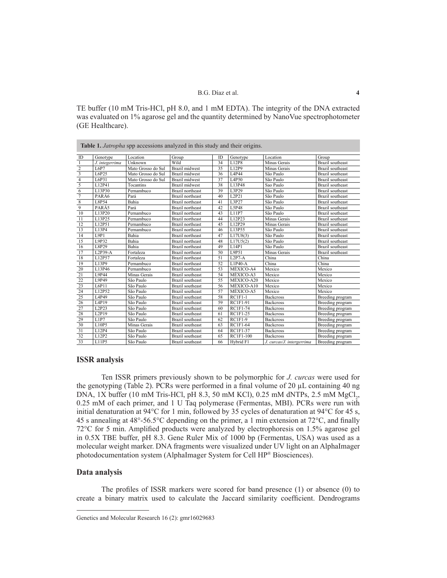TE buffer (10 mM Tris-HCl, pH 8.0, and 1 mM EDTA). The integrity of the DNA extracted was evaluated on 1% agarose gel and the quantity determined by NanoVue spectrophotometer (GE Healthcare).

**Table 1.** *Jatropha* spp accessions analyzed in this study and their origins.

| ID                      | Genotype       | Location           | Group                   | ID | Genotype             | Location                  | Group                   |
|-------------------------|----------------|--------------------|-------------------------|----|----------------------|---------------------------|-------------------------|
| $\mathbf{1}$            | J. integerrima | Unknown            | Wild                    | 34 | L12P8                | Minas Gerais              | <b>Brazil</b> southeast |
| $\overline{2}$          | L6P7           | Mato Grosso do Sul | <b>Brazil</b> midwest   | 35 | L12P9                | Minas Gerais              | Brazil southeast        |
| $\overline{\mathbf{3}}$ | L6P25          | Mato Grosso do Sul | <b>Brazil</b> midwest   | 36 | L4P44                | São Paulo                 | Brazil southeast        |
| $\overline{4}$          | L6P31          | Mato Grosso do Sul | Brazil midwest          | 37 | L4P50                | São Paulo                 | Brazil southeast        |
| $\frac{5}{6}$           | L12P41         | Tocantins          | <b>Brazil</b> midwest   | 38 | L13P48               | Sao Paulo                 | Brazil southeast        |
|                         | L13P30         | Pernambuco         | Brazil northeast        | 39 | L3P29                | São Paulo                 | Brazil southeast        |
| $\overline{7}$          | PARÁ6          | Pará               | <b>Brazil</b> northeast | 40 | L2P21                | São Paulo                 | <b>Brazil</b> southeast |
| $\frac{8}{9}$           | L8P54          | Bahia              | <b>Brazil</b> northeast | 41 | L3P27                | São Paulo                 | <b>Brazil</b> southeast |
|                         | PARÁ5          | Pará               | Brazil northeast        | 42 | L5P48                | São Paulo                 | Brazil southeast        |
| 10                      | L13P20         | Pernambuco         | Brazil northeast        | 43 | L11P7                | São Paulo                 | Brazil southeast        |
| 11                      | L13P25         | Pernambuco         | <b>Brazil</b> northeast | 44 | L12P23               | Minas Gerais              | Brazil southeast        |
| 12                      | L12P51         | Pernambuco         | Brazil northeast        | 45 | L12P29               | Minas Gerais              | Brazil southeast        |
| $\overline{13}$         | L13P4          | Pernambuco         | Brazil northeast        | 46 | L13P55               | São Paulo                 | Brazil southeast        |
| 14                      | L9P1           | Bahia              | Brazil northeast        | 47 | L17U8(3)             | São Paulo                 | Brazil southeast        |
| 15                      | L9P32          | Bahia              | Brazil northeast        | 48 | L17U5(2)             | São Paulo                 | Brazil southeast        |
| 16                      | L8P29          | Bahia              | Brazil northeast        | 49 | L14P1                | São Paulo                 | Brazil southeast        |
| $\overline{17}$         | $L2P39-A$      | Fortaleza          | Brazil northeast        | 50 | L9P51                | Minas Gerais              | Brazil southeast        |
| 18                      | L12P57         | Fortaleza          | Brazil northeast        | 51 | $L2P7-A$             | China                     | China                   |
| 19                      | L13P9          | Pernambuco         | Brazil northeast        | 52 | $L1P40-A$            | China                     | China                   |
| 20                      | L13P46         | Pernambuco         | Brazil northeast        | 53 | MÉXICO-A4            | Mexico                    | Mexico                  |
| 21                      | L9P44          | Minas Gerais       | Brazil southeast        | 54 | MÉXICO-A3            | Mexico                    | Mexico                  |
| 22                      | L9P49          | São Paulo          | Brazil southeast        | 55 | MÉXICO-A20           | Mexico                    | Mexico                  |
| 23                      | L6P11          | São Paulo          | Brazil southeast        | 56 | MÉXICO-A10           | Mexico                    | Mexico                  |
| 24                      | L12P52         | São Paulo          | Brazil southeast        | 57 | MÉXICO-A5            | Mexico                    | Mexico                  |
| 25                      | L4P49          | São Paulo          | Brazil southeast        | 58 | $RC1F1-1$            | <b>Backcross</b>          | Breeding program        |
| 26                      | L4P19          | São Paulo          | Brazil southeast        | 59 | <b>RC1F1-91</b>      | <b>Backcross</b>          | Breeding program        |
| 27                      | L2P23          | São Paulo          | Brazil southeast        | 60 | <b>RC1F1-74</b>      | <b>Backcross</b>          | Breeding program        |
| 28                      | L2P19          | São Paulo          | Brazil southeast        | 61 | <b>RC1F1-25</b>      | <b>Backcross</b>          | Breeding program        |
| 29                      | L1P7           | São Paulo          | Brazil southeast        | 62 | $\overline{RC1F1-9}$ | <b>Backcross</b>          | Breeding program        |
| 30                      | L10P5          | Minas Gerais       | Brazil southeast        | 63 | RC1F1-64             | <b>Backcross</b>          | Breeding program        |
| 31                      | L12P4          | São Paulo          | Brazil southeast        | 64 | RC1F1-37             | <b>Backcross</b>          | Breeding program        |
| 32                      | L12P2          | São Paulo          | Brazil southeast        | 65 | RC1F1-100            | <b>Backcross</b>          | Breeding program        |
| 33                      | L11P5          | São Paulo          | Brazil southeast        | 66 | Hybrid F1            | J. curcas/J. intergerrima | Breeding program        |

# **ISSR analysis**

Ten ISSR primers previously shown to be polymorphic for *J. curcas* were used for the genotyping (Table 2). PCRs were performed in a final volume of 20 µL containing 40 ng DNA, 1X buffer (10 mM Tris-HCl, pH 8.3, 50 mM KCl), 0.25 mM dNTPs, 2.5 mM  $MgCl_2$ , 0.25 mM of each primer, and 1 U Taq polymerase (Fermentas, MBI). PCRs were run with initial denaturation at 94°C for 1 min, followed by 35 cycles of denaturation at 94°C for 45 s, 45 s annealing at 48°-56.5°C depending on the primer, a 1 min extension at 72°C, and finally 72°C for 5 min. Amplified products were analyzed by electrophoresis on 1.5% agarose gel in 0.5X TBE buffer, pH 8.3. Gene Ruler Mix of 1000 bp (Fermentas, USA) was used as a molecular weight marker. DNA fragments were visualized under UV light on an AlphaImager photodocumentation system (AlphaImager System for Cell HP® Biosciences).

# **Data analysis**

The profiles of ISSR markers were scored for band presence (1) or absence (0) to create a binary matrix used to calculate the Jaccard similarity coefficient. Dendrograms

Genetics and Molecular Research 16 (2): gmr16029683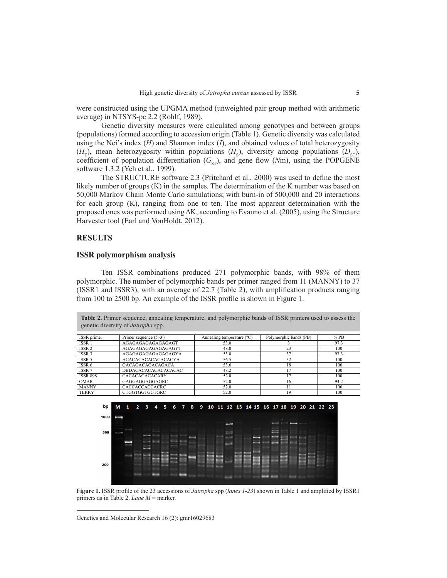were constructed using the UPGMA method (unweighted pair group method with arithmetic average) in NTSYS-pc 2.2 (Rohlf, 1989).

Genetic diversity measures were calculated among genotypes and between groups (populations) formed according to accession origin (Table 1). Genetic diversity was calculated using the Nei's index (*H*) and Shannon index (*I*), and obtained values of total heterozygosity  $(H<sub>T</sub>)$ , mean heterozygosity within populations  $(H<sub>s</sub>)$ , diversity among populations  $(D<sub>ST</sub>)$ , coefficient of population differentiation  $(G_{ST})$ , and gene flow (*N*m), using the POPGENE software 1.3.2 (Yeh et al., 1999).

The STRUCTURE software 2.3 (Pritchard et al., 2000) was used to define the most likely number of groups (K) in the samples. The determination of the K number was based on 50,000 Markov Chain Monte Carlo simulations; with burn-in of 500,000 and 20 interactions for each group (K), ranging from one to ten. The most apparent determination with the proposed ones was performed using ΔK, according to Evanno et al. (2005), using the Structure Harvester tool (Earl and VonHoldt, 2012).

# **RESULTS**

# **ISSR polymorphism analysis**

Ten ISSR combinations produced 271 polymorphic bands, with 98% of them polymorphic. The number of polymorphic bands per primer ranged from 11 (MANNY) to 37 (ISSR1 and ISSR3), with an average of 22.7 (Table 2), with amplification products ranging from 100 to 2500 bp. An example of the ISSR profile is shown in Figure 1.

**Table 2.** Primer sequence, annealing temperature, and polymorphic bands of ISSR primers used to assess the genetic diversity of *Jatropha* spp.

| <b>ISSR</b> primer | Primer sequence (5'-3')    | Annealing temperature $(^{\circ}C)$ | Polymorphic bands (PB) | $%$ PB |
|--------------------|----------------------------|-------------------------------------|------------------------|--------|
| ISSR 1             | AGAGAGAGAGAGAGAGT          | 53.0                                |                        | 97.3   |
| ISSR <sub>2</sub>  | AGAGAGAGAGAGAGAGYT         | 48.0                                | 23                     | 100    |
| ISSR <sub>3</sub>  | AGAGAGAGAGAGAGAGYA         | 53.0                                | 37                     | 97.3   |
| ISSR 5             | <b>ACACACACACACACACYA</b>  | 56.5                                | 32                     | 100    |
| ISSR 6             | GACAGACAGACAGACA           | 53.6                                | 18                     | 100    |
| ISSR <sub>7</sub>  | <b>DBDACACACACACACACAC</b> | 48.2                                |                        | 100    |
| <b>ISSR 898</b>    | <b>CACACACACACARY</b>      | 52.0                                |                        | 100    |
| <b>OMAR</b>        | GAGGAGGAGGAGRC             | 52.0                                | 16                     | 94.2   |
| <b>MANNY</b>       | CACCACCACCACRC             | 52.0                                |                        | 100    |
| <b>TERRY</b>       | GTGGTGGTGGTGRC             | 52.0                                | 19                     | 100    |



**Figure 1.** ISSR profile of the 23 accessions of *Jatropha* spp (*lanes 1-23*) shown in Table 1 and amplified by ISSR1 primers as in Table 2. *Lane M* = marker.

Genetics and Molecular Research 16 (2): gmr16029683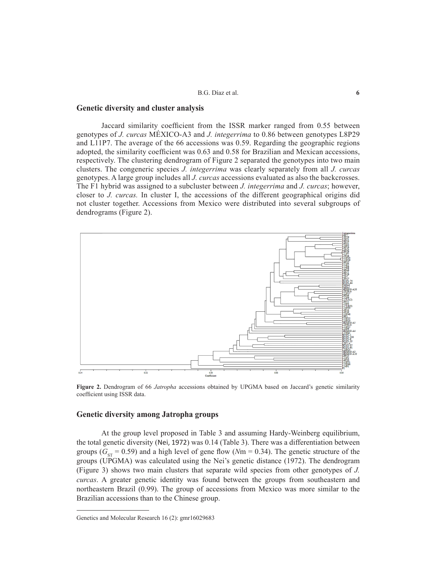#### B.G. Díaz et al. **6**

# **Genetic diversity and cluster analysis**

Jaccard similarity coefficient from the ISSR marker ranged from 0.55 between genotypes of *J. curcas* MÉXICO-A3 and *J. integerrima* to 0.86 between genotypes L8P29 and L11P7. The average of the 66 accessions was 0.59. Regarding the geographic regions adopted, the similarity coefficient was 0.63 and 0.58 for Brazilian and Mexican accessions, respectively. The clustering dendrogram of Figure 2 separated the genotypes into two main clusters. The congeneric species *J. integerrima* was clearly separately from all *J. curcas* genotypes. A large group includes all *J. curcas* accessions evaluated as also the backcrosses. The F1 hybrid was assigned to a subcluster between *J. integerrima* and *J. curcas*; however, closer to *J. curcas.* In cluster I, the accessions of the different geographical origins did not cluster together. Accessions from Mexico were distributed into several subgroups of dendrograms (Figure 2).



**Figure 2.** Dendrogram of 66 *Jatropha* accessions obtained by UPGMA based on Jaccard's genetic similarity coefficient using ISSR data.

#### **Genetic diversity among Jatropha groups**

At the group level proposed in Table 3 and assuming Hardy-Weinberg equilibrium, the total genetic diversity (Nei, 1972) was 0.14 (Table 3). There was a differentiation between groups ( $G_{ST} = 0.59$ ) and a high level of gene flow ( $Nm = 0.34$ ). The genetic structure of the groups (UPGMA) was calculated using the Nei's genetic distance (1972). The dendrogram (Figure 3) shows two main clusters that separate wild species from other genotypes of *J. curcas*. A greater genetic identity was found between the groups from southeastern and northeastern Brazil (0.99). The group of accessions from Mexico was more similar to the Brazilian accessions than to the Chinese group.

Genetics and Molecular Research 16 (2): gmr16029683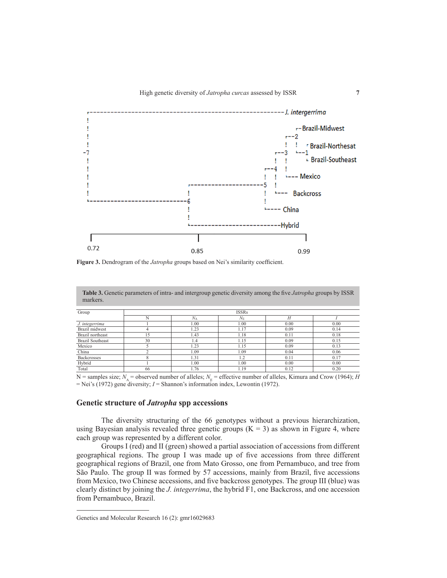

**Figure 3.** Dendrogram of the *Jatropha* groups based on Nei's similarity coefficient.

| Group                   | <b>ISSRs</b> |       |             |      |      |  |  |
|-------------------------|--------------|-------|-------------|------|------|--|--|
|                         | N            | $N_A$ | $N_{\rm E}$ | H    |      |  |  |
| J. integerrima          |              | 1.00  | 00.1        | 0.00 | 0.00 |  |  |
| Brazil midwest          |              | 1.23  | 1.17        | 0.09 | 0.14 |  |  |
| Brazil northeast        | 15           | 1.43  | 1.18        | 0.11 | 0.18 |  |  |
| <b>Brazil Southeast</b> | 30           | 1.4   | 1.15        | 0.09 | 0.15 |  |  |
| Mexico                  |              | 1.23  | 1.15        | 0.09 | 0.13 |  |  |
| China                   |              | 1.09  | 1.09        | 0.04 | 0.06 |  |  |
| <b>Backcrosses</b>      | Λ            | 1.31  | 1.2         | 0.11 | 0.17 |  |  |
| Hybrid                  |              | 1.00  | 00.1        | 0.00 | 0.00 |  |  |
| Total                   | 66           | 1.76  | 1.19        | 0.12 | 0.20 |  |  |

**Table 3.** Genetic parameters of intra- and intergroup genetic diversity among the five *Jatropha* groups by ISSR markers.

N = samples size;  $N_A$  = observed number of alleles;  $N_E$  = effective number of alleles, Kimura and Crow (1964); *H* = Nei's (1972) gene diversity; *I* = Shannon's information index, Lewontin (1972).

# **Genetic structure of** *Jatropha* **spp accessions**

The diversity structuring of the 66 genotypes without a previous hierarchization, using Bayesian analysis revealed three genetic groups  $(K = 3)$  as shown in Figure 4, where each group was represented by a different color.

Groups I (red) and II (green) showed a partial association of accessions from different geographical regions. The group I was made up of five accessions from three different geographical regions of Brazil, one from Mato Grosso, one from Pernambuco, and tree from São Paulo. The group II was formed by 57 accessions, mainly from Brazil, five accessions from Mexico, two Chinese accessions, and five backcross genotypes. The group III (blue) was clearly distinct by joining the *J. integerrima*, the hybrid F1, one Backcross, and one accession from Pernambuco, Brazil.

Genetics and Molecular Research 16 (2): gmr16029683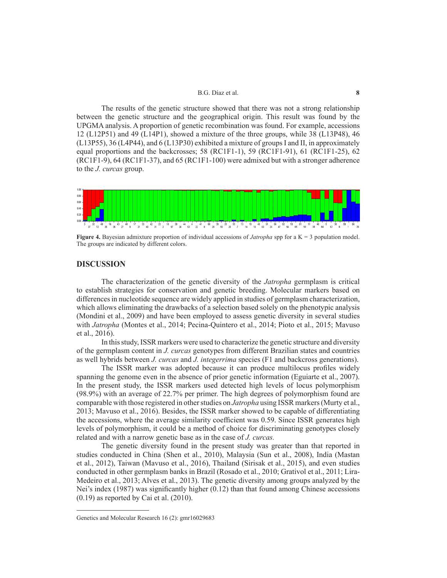#### B.G. Díaz et al. **8**

The results of the genetic structure showed that there was not a strong relationship between the genetic structure and the geographical origin. This result was found by the UPGMA analysis. A proportion of genetic recombination was found. For example, accessions 12 (L12P51) and 49 (L14P1), showed a mixture of the three groups, while 38 (L13P48), 46 (L13P55), 36 (L4P44), and 6 (L13P30) exhibited a mixture of groups I and II, in approximately equal proportions and the backcrosses; 58 (RC1F1-1), 59 (RC1F1-91), 61 (RC1F1-25), 62 (RC1F1-9), 64 (RC1F1-37), and 65 (RC1F1-100) were admixed but with a stronger adherence to the *J. curcas* group.



**Figure 4.** Bayesian admixture proportion of individual accessions of *Jatropha* spp for a K = 3 population model. The groups are indicated by different colors.

### **DISCUSSION**

The characterization of the genetic diversity of the *Jatropha* germplasm is critical to establish strategies for conservation and genetic breeding. Molecular markers based on differences in nucleotide sequence are widely applied in studies of germplasm characterization, which allows eliminating the drawbacks of a selection based solely on the phenotypic analysis (Mondini et al., 2009) and have been employed to assess genetic diversity in several studies with *Jatropha* (Montes et al., 2014; Pecina-Quintero et al., 2014; Pioto et al., 2015; Mavuso et al., 2016).

In this study, ISSR markers were used to characterize the genetic structure and diversity of the germplasm content in *J. curcas* genotypes from different Brazilian states and countries as well hybrids between *J. curcas* and *J. integerrima* species (F1 and backcross generations).

The ISSR marker was adopted because it can produce multilocus profiles widely spanning the genome even in the absence of prior genetic information (Eguiarte et al., 2007). In the present study, the ISSR markers used detected high levels of locus polymorphism (98.9%) with an average of 22.7% per primer. The high degrees of polymorphism found are comparable with those registered in other studies on *Jatropha* using ISSR markers (Murty et al., 2013; Mavuso et al., 2016). Besides, the ISSR marker showed to be capable of differentiating the accessions, where the average similarity coefficient was 0.59. Since ISSR generates high levels of polymorphism, it could be a method of choice for discriminating genotypes closely related and with a narrow genetic base as in the case of *J. curcas.*

The genetic diversity found in the present study was greater than that reported in studies conducted in China (Shen et al., 2010), Malaysia (Sun et al., 2008), India (Mastan et al., 2012), Taiwan (Mavuso et al., 2016), Thailand (Sirisak et al., 2015), and even studies conducted in other germplasm banks in Brazil (Rosado et al., 2010; Grativol et al., 2011; Lira-Medeiro et al., 2013; Alves et al., 2013). The genetic diversity among groups analyzed by the Nei's index (1987) was significantly higher (0.12) than that found among Chinese accessions (0.19) as reported by Cai et al. (2010).

Genetics and Molecular Research 16 (2): gmr16029683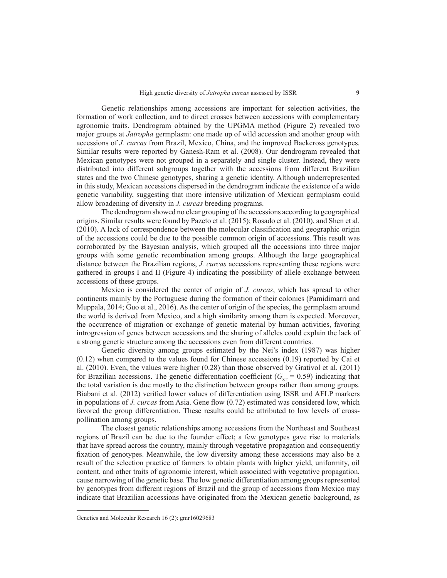Genetic relationships among accessions are important for selection activities, the formation of work collection, and to direct crosses between accessions with complementary agronomic traits. Dendrogram obtained by the UPGMA method (Figure 2) revealed two major groups at *Jatropha* germplasm: one made up of wild accession and another group with accessions of *J. curcas* from Brazil, Mexico, China, and the improved Backcross genotypes. Similar results were reported by Ganesh-Ram et al. (2008). Our dendrogram revealed that Mexican genotypes were not grouped in a separately and single cluster. Instead, they were distributed into different subgroups together with the accessions from different Brazilian states and the two Chinese genotypes, sharing a genetic identity. Although underrepresented in this study, Mexican accessions dispersed in the dendrogram indicate the existence of a wide genetic variability, suggesting that more intensive utilization of Mexican germplasm could allow broadening of diversity in *J. curcas* breeding programs.

The dendrogram showed no clear grouping of the accessions according to geographical origins. Similar results were found by Pazeto et al. (2015); Rosado et al. (2010), and Shen et al. (2010). A lack of correspondence between the molecular classification and geographic origin of the accessions could be due to the possible common origin of accessions. This result was corroborated by the Bayesian analysis, which grouped all the accessions into three major groups with some genetic recombination among groups. Although the large geographical distance between the Brazilian regions, *J. curcas* accessions representing these regions were gathered in groups I and II (Figure 4) indicating the possibility of allele exchange between accessions of these groups.

Mexico is considered the center of origin of *J. curcas*, which has spread to other continents mainly by the Portuguese during the formation of their colonies (Pamidimarri and Muppala, 2014; Guo et al., 2016). As the center of origin of the species, the germplasm around the world is derived from Mexico, and a high similarity among them is expected. Moreover, the occurrence of migration or exchange of genetic material by human activities, favoring introgression of genes between accessions and the sharing of alleles could explain the lack of a strong genetic structure among the accessions even from different countries.

Genetic diversity among groups estimated by the Nei's index (1987) was higher (0.12) when compared to the values found for Chinese accessions (0.19) reported by Cai et al. (2010). Even, the values were higher (0.28) than those observed by Grativol et al. (2011) for Brazilian accessions. The genetic differentiation coefficient ( $G_{ST} = 0.59$ ) indicating that the total variation is due mostly to the distinction between groups rather than among groups. Biabani et al. (2012) verified lower values of differentiation using ISSR and AFLP markers in populations of *J. curcas* from Asia. Gene flow (0.72) estimated was considered low, which favored the group differentiation. These results could be attributed to low levels of crosspollination among groups.

The closest genetic relationships among accessions from the Northeast and Southeast regions of Brazil can be due to the founder effect; a few genotypes gave rise to materials that have spread across the country, mainly through vegetative propagation and consequently fixation of genotypes. Meanwhile, the low diversity among these accessions may also be a result of the selection practice of farmers to obtain plants with higher yield, uniformity, oil content, and other traits of agronomic interest, which associated with vegetative propagation, cause narrowing of the genetic base. The low genetic differentiation among groups represented by genotypes from different regions of Brazil and the group of accessions from Mexico may indicate that Brazilian accessions have originated from the Mexican genetic background, as

Genetics and Molecular Research 16 (2): gmr16029683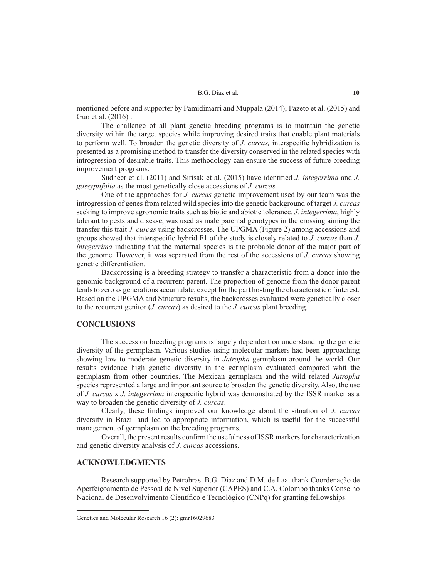mentioned before and supporter by Pamidimarri and Muppala (2014); Pazeto et al. (2015) and Guo et al. (2016) .

The challenge of all plant genetic breeding programs is to maintain the genetic diversity within the target species while improving desired traits that enable plant materials to perform well. To broaden the genetic diversity of *J. curcas,* interspecific hybridization is presented as a promising method to transfer the diversity conserved in the related species with introgression of desirable traits. This methodology can ensure the success of future breeding improvement programs.

Sudheer et al. (2011) and Sirisak et al. (2015) have identified *J. integerrima* and *J. gossypiifolia* as the most genetically close accessions of *J. curcas.*

One of the approaches for *J. curcas* genetic improvement used by our team was the introgression of genes from related wild species into the genetic background of target *J. curcas* seeking to improve agronomic traits such as biotic and abiotic tolerance. *J. integerrima*, highly tolerant to pests and disease, was used as male parental genotypes in the crossing aiming the transfer this trait *J. curcas* using backcrosses. The UPGMA (Figure 2) among accessions and groups showed that interspecific hybrid F1 of the study is closely related to *J. curcas* than *J. integerrima* indicating that the maternal species is the probable donor of the major part of the genome. However, it was separated from the rest of the accessions of *J. curcas* showing genetic differentiation.

Backcrossing is a breeding strategy to transfer a characteristic from a donor into the genomic background of a recurrent parent. The proportion of genome from the donor parent tends to zero as generations accumulate, except for the part hosting the characteristic of interest. Based on the UPGMA and Structure results, the backcrosses evaluated were genetically closer to the recurrent genitor (*J. curcas*) as desired to the *J. curcas* plant breeding.

# **CONCLUSIONS**

The success on breeding programs is largely dependent on understanding the genetic diversity of the germplasm. Various studies using molecular markers had been approaching showing low to moderate genetic diversity in *Jatropha* germplasm around the world. Our results evidence high genetic diversity in the germplasm evaluated compared whit the germplasm from other countries. The Mexican germplasm and the wild related *Jatropha* species represented a large and important source to broaden the genetic diversity. Also, the use of *J. curcas* x *J. integerrima* interspecific hybrid was demonstrated by the ISSR marker as a way to broaden the genetic diversity of *J. curcas*.

Clearly, these findings improved our knowledge about the situation of *J. curcas* diversity in Brazil and led to appropriate information, which is useful for the successful management of germplasm on the breeding programs.

Overall, the present results confirm the usefulness of ISSR markers for characterization and genetic diversity analysis of *J. curcas* accessions.

# **ACKNOWLEDGMENTS**

Research supported by Petrobras. B.G. Díaz and D.M. de Laat thank Coordenação de Aperfeiçoamento de Pessoal de Nível Superior (CAPES) and C.A. Colombo thanks Conselho Nacional de Desenvolvimento Científico e Tecnológico (CNPq) for granting fellowships.

Genetics and Molecular Research 16 (2): gmr16029683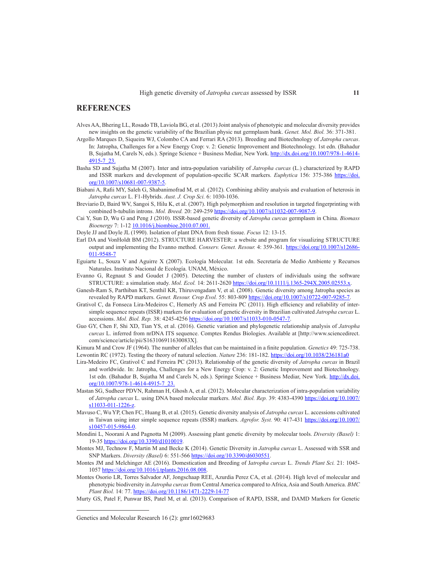# **REFERENCES**

- Alves AA, Bhering LL, Rosado TB, Laviola BG, et al. (2013) Joint analysis of phenotypic and molecular diversity provides new insights on the genetic variability of the Brazilian physic nut germplasm bank. *Genet. Mol. Biol.* 36: 371-381.
- Argollo Marques D, Siqueira WJ, Colombo CA and Ferrari RA (2013). Breeding and Biotechnology of *Jatropha curcas*. In: Jatropha, Challenges for a New Energy Crop: v. 2: Genetic Improvement and Biotechnology. 1st edn. (Bahadur B, Sujatha M, Carels N, eds.). Springe Science + Business Mediar, New York. http://dx.doi.org/10.1007/978-1-4614- 4915-7\_23.
- Basha SD and Sujatha M (2007). Inter and intra-population variability of *Jatropha curcas* (L.) characterized by RAPD and ISSR markers and development of population-specific SCAR markers. *Euphytica* 156: 375-386 https://doi. org/10.1007/s10681-007-9387-5.
- Biabani A, Rafii MY, Saleh G, Shabanimofrad M, et al. (2012). Combining ability analysis and evaluation of heterosis in *Jatropha curcas* L. F1-Hybrids. *Aust. J. Crop Sci.* 6: 1030-1036.
- Breviario D, Baird WV, Sangoi S, Hilu K, et al. (2007). High polymorphism and resolution in targeted fingerprinting with combined b-tubulin introns. *Mol. Breed.* 20: 249-259 https://doi.org/10.1007/s11032-007-9087-9.
- Cai Y, Sun D, Wu G and Peng J (2010). ISSR-based genetic diversity of *Jatropha curcas* germplasm in China. *Biomass Bioenergy* 7: 1-12 10.1016/j.biombioe.2010.07.001.
- Doyle JJ and Doyle JL (1990). Isolation of plant DNA from fresh tissue. *Focus* 12: 13-15.
- Earl DA and VonHoldt BM (2012). STRUCTURE HARVESTER: a website and program for visualizing STRUCTURE output and implementing the Evanno method. *Conserv. Genet. Resour.* 4: 359-361. https://doi.org/10.1007/s12686- 011-9548-7
- Eguiarte L, Souza V and Aguirre X (2007). Ecología Molecular. 1st edn. Secretaría de Medio Ambiente y Recursos Naturales. Instituto Nacional de Ecología. UNAM, México.
- Evanno G, Regnaut S and Goudet J (2005). Detecting the number of clusters of individuals using the software STRUCTURE: a simulation study. *Mol. Ecol.* 14: 2611-2620 https://doi.org/10.1111/j.1365-294X.2005.02553.x.
- Ganesh-Ram S, Parthiban KT, Senthil KR, Thiruvengadam V, et al. (2008). Genetic diversity among Jatropha species as revealed by RAPD markers. *Genet. Resour. Crop Evol.* 55: 803-809 https://doi.org/10.1007/s10722-007-9285-7.
- Grativol C, da Fonseca Lira-Medeiros C, Hemerly AS and Ferreira PC (2011). High efficiency and reliability of intersimple sequence repeats (ISSR) markers for evaluation of genetic diversity in Brazilian cultivated *Jatropha curcas* L. accessions. *Mol. Biol. Rep.* 38: 4245-4256 https://doi.org/10.1007/s11033-010-0547-7.
- Guo GY, Chen F, Shi XD, Tian YS, et al. (2016). Genetic variation and phylogenetic relationship analysis of *Jatropha curcas* L. inferred from nrDNA ITS sequence. Comptes Rendus Biologies. Available at [http://www.sciencedirect. com/science/article/pii/S163106911630083X].
- Kimura M and Crow JF (1964). The number of alleles that can be maintained in a finite population. *Genetics* 49: 725-738. Lewontin RC (1972). Testing the theory of natural selection. *Nature* 236: 181-182. https://doi.org/10.1038/236181a0
- Lira-Medeiro FC, Grativol C and Ferreira PC (2013). Relationship of the genetic diversity of *Jatropha curcas* in Brazil and worldwide. In: Jatropha, Challenges for a New Energy Crop: v. 2: Genetic Improvement and Biotechnology. 1st edn. (Bahadur B, Sujatha M and Carels N, eds.). Springe Science + Business Mediar, New York. http://dx.doi. org/10.1007/978-1-4614-4915-7\_23.
- Mastan SG, Sudheer PDVN, Rahman H, Ghosh A, et al. (2012). Molecular characterization of intra-population variability of *Jatropha curcas* L. using DNA based molecular markers. *Mol. Biol. Rep.* 39: 4383-4390 https://doi.org/10.1007/ s11033-011-1226-z.
- Mavuso C, Wu YP, Chen FC, Huang B, et al. (2015). Genetic diversity analysis of *Jatropha curcas* L. accessions cultivated in Taiwan using inter simple sequence repeats (ISSR) markers. *Agrofor. Syst.* 90: 417-431 https://doi.org/10.1007/ s10457-015-9864-0.
- Mondini L, Noorani A and Pagnotta M (2009). Assessing plant genetic diversity by molecular tools. *Diversity (Basel)* 1: 19-35 https://doi.org/10.3390/d1010019.
- Montes MJ, Technow F, Martin M and Becke K (2014). Genetic Diversity in *Jatropha curcas* L. Assessed with SSR and SNP Markers. *Diversity (Basel)* 6: 551-566 https://doi.org/10.3390/d6030551.
- Montes JM and Melchinger AE (2016). Domestication and Breeding of J*atropha curcas* L. *Trends Plant Sci.* 21: 1045- 1057 https://doi.org/10.1016/j.tplants.2016.08.008.
- Montes Osorio LR, Torres Salvador AF, Jongschaap REE, Azurdia Perez CA, et al. (2014). High level of molecular and phenotypic biodiversity in *Jatropha curcas* from Central America compared to Africa, Asia and South America. *BMC Plant Biol.* 14: 77. https://doi.org/10.1186/1471-2229-14-77
- Murty GS, Patel F, Punwar BS, Patel M, et al. (2013). Comparison of RAPD, ISSR, and DAMD Markers for Genetic

Genetics and Molecular Research 16 (2): gmr16029683